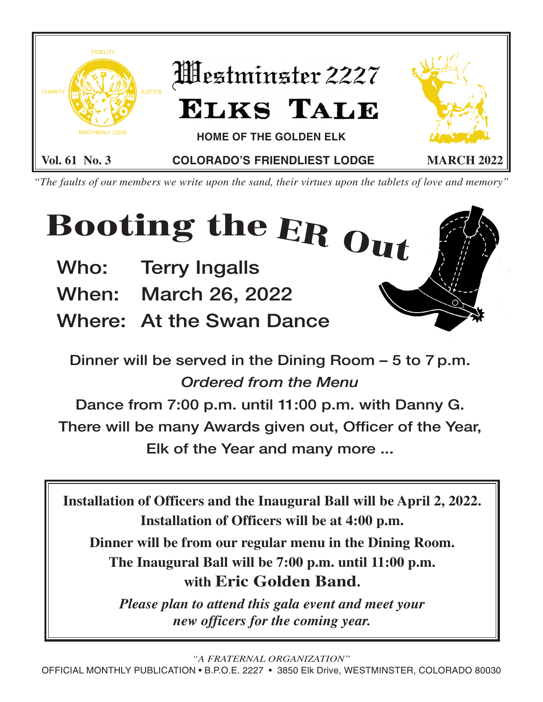

*"The faults of our members we write upon the sand, their virtues upon the tablets of love and memory"*

# **Booting the ER Out**

- **Who: Terry Ingalls**
- **When: March 26, 2022**
- **Where: At the Swan Dance**

**Dinner will be served in the Dining Room – 5 to 7 p.m.** *Ordered from the Menu*

**Dance from 7:00 p.m. until 11:00 p.m. with Danny G. There will be many Awards given out, Officer of the Year, Elk of the Year and many more ...**

**Installation of Officers and the Inaugural Ball will be April 2, 2022. Installation of Officers will be at 4:00 p.m.**

**Dinner will be from our regular menu in the Dining Room. The Inaugural Ball will be 7:00 p.m. until 11:00 p.m. with Eric Golden Band.**

*Please plan to attend this gala event and meet your new officers for the coming year.*

*"A FRATERNAL ORGANIZATION"*

OFFICIAL MONTHLY PUBLICATION • B.P.O.E. 2227 • 3850 Elk Drive, WESTMINSTER, COLORADO 80030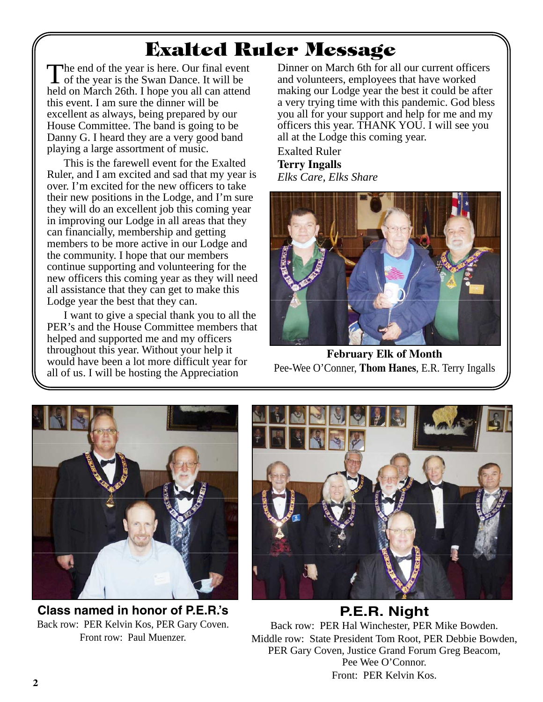# **Exalted Ruler Message**

The end of the year is here. Our final event<br>of the year is the Swan Dance. It will be held on March 26th. I hope you all can attend this event. I am sure the dinner will be excellent as always, being prepared by our House Committee. The band is going to be Danny G. I heard they are a very good band playing a large assortment of music.

This is the farewell event for the Exalted Ruler, and I am excited and sad that my year is over. I'm excited for the new officers to take their new positions in the Lodge, and I'm sure they will do an excellent job this coming year in improving our Lodge in all areas that they can financially, membership and getting members to be more active in our Lodge and the community. I hope that our members continue supporting and volunteering for the new officers this coming year as they will need all assistance that they can get to make this Lodge year the best that they can.

I want to give a special thank you to all the PER's and the House Committee members that helped and supported me and my officers throughout this year. Without your help it would have been a lot more difficult year for all of us. I will be hosting the Appreciation

Dinner on March 6th for all our current officers and volunteers, employees that have worked making our Lodge year the best it could be after a very trying time with this pandemic. God bless you all for your support and help for me and my officers this year. THANK YOU. I will see you all at the Lodge this coming year.

Exalted Ruler **Terry Ingalls** *Elks Care, Elks Share*



**February Elk of Month** Pee-Wee O'Conner, **Thom Hanes**, E.R. Terry Ingalls



**Class named in honor of P.E.R.'s** Back row: PER Kelvin Kos, PER Gary Coven. Front row: Paul Muenzer.



**P.E.R. Night** Back row: PER Hal Winchester, PER Mike Bowden. Middle row: State President Tom Root, PER Debbie Bowden,

PER Gary Coven, Justice Grand Forum Greg Beacom, Pee Wee O'Connor. Front: PER Kelvin Kos.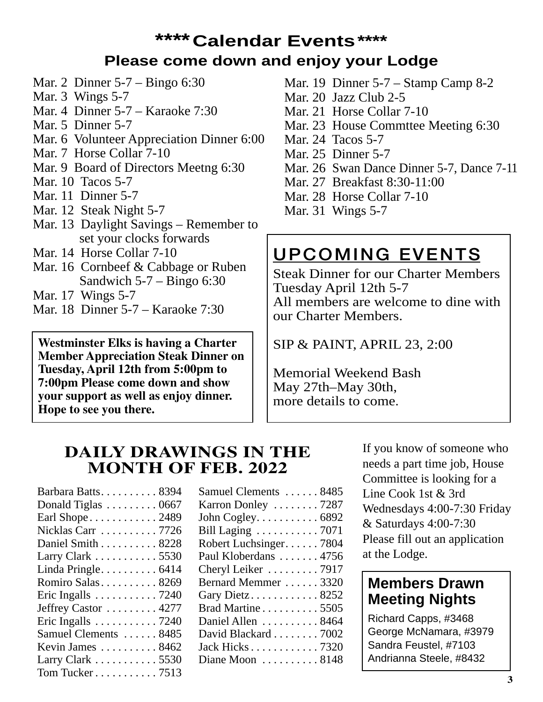### **\*\*\*\*Calendar Events\*\*\*\* Please come down and enjoy your Lodge**

- Mar. 2 Dinner 5-7 Bingo 6:30
- Mar. 3 Wings 5-7
- Mar. 4 Dinner 5-7 Karaoke 7:30
- Mar. 5 Dinner 5-7
- Mar. 6 Volunteer Appreciation Dinner 6:00
- Mar. 7 Horse Collar 7-10
- Mar. 9 Board of Directors Meetng 6:30
- Mar. 10 Tacos 5-7
- Mar. 11 Dinner 5-7
- Mar. 12 Steak Night 5-7
- Mar. 13 Daylight Savings Remember to set your clocks forwards
- Mar. 14 Horse Collar 7-10
- Mar. 16 Cornbeef & Cabbage or Ruben Sandwich  $5-7$  – Bingo 6:30
- Mar. 17 Wings 5-7
- Mar. 18 Dinner 5-7 Karaoke 7:30

**Westminster Elks is having a Charter Member Appreciation Steak Dinner on Tuesday, April 12th from 5:00pm to 7:00pm Please come down and show your support as well as enjoy dinner. Hope to see you there.**

- Mar. 19 Dinner 5-7 Stamp Camp 8-2
- Mar. 20 Jazz Club 2-5
- Mar. 21 Horse Collar 7-10
- Mar. 23 House Commttee Meeting 6:30
- Mar. 24 Tacos 5-7
- Mar. 25 Dinner 5-7
- Mar. 26 Swan Dance Dinner 5-7, Dance 7-11
- Mar. 27 Breakfast 8:30-11:00
- Mar. 28 Horse Collar 7-10
- Mar. 31 Wings 5-7

## **UPCOMING EVENTS**

Steak Dinner for our Charter Members Tuesday April 12th 5-7 All members are welcome to dine with our Charter Members.

SIP & PAINT, APRIL 23, 2:00

Memorial Weekend Bash May 27th–May 30th, more details to come.

#### **DAILY DRAWINGS IN THE MONTH OF FEB. 2022**

| Barbara Batts 8394                          |
|---------------------------------------------|
| Donald Tiglas  0667                         |
| Earl Shope2489                              |
| Nicklas Carr 7726                           |
| Daniel Smith 8228                           |
| Larry Clark 5530                            |
| Linda Pringle 6414                          |
| Romiro Salas 8269                           |
| Eric Ingalls $\dots \dots \dots \dots 7240$ |
| Jeffrey Castor  4277                        |
| Eric Ingalls $\dots \dots \dots \dots 7240$ |
| Samuel Clements  8485                       |
| Kevin James  8462                           |
| Larry Clark 5530                            |
| Tom Tucker 7513                             |
|                                             |

| Samuel Clements  8485               |
|-------------------------------------|
| Karron Donley  7287                 |
| John Cogley. 6892                   |
| Bill Laging  7071                   |
| Robert Luchsinger7804               |
| Paul Kloberdans  4756               |
| Cheryl Leiker  7917                 |
| Bernard Memmer  3320                |
| Gary Dietz8252                      |
| Brad Martine 5505                   |
| Daniel Allen  8464                  |
| David Blackard 7002                 |
| Jack Hicks 7320                     |
| Diane Moon $\dots \dots \dots 8148$ |
|                                     |

If you know of someone who needs a part time job, House Committee is looking for a Line Cook 1st & 3rd Wednesdays 4:00-7:30 Friday & Saturdays 4:00-7:30 Please fill out an application at the Lodge.

### **Members Drawn Meeting Nights**

Richard Capps, #3468 George McNamara, #3979 Sandra Feustel, #7103 Andrianna Steele, #8432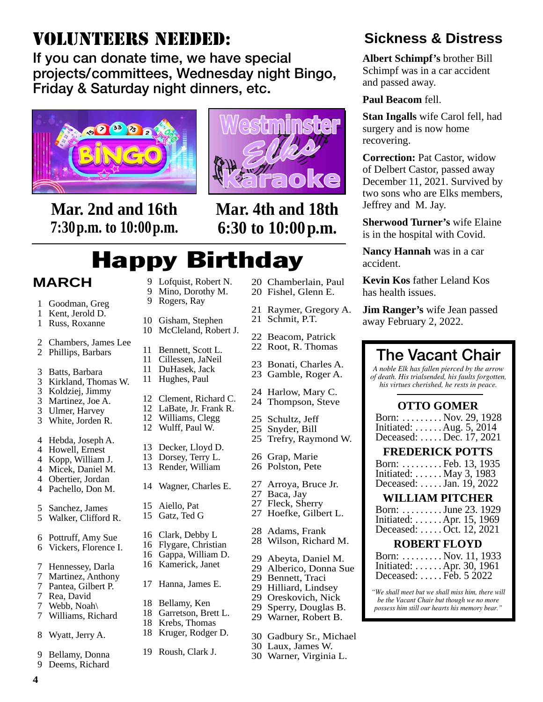## VOLUNTEERS NEEDED:

**If you can donate time, we have special projects/committees, Wednesday night Bingo, Friday & Saturday night dinners, etc.**



**Mar. 2nd and 16th 7:30p.m. to 10:00p.m.**



**Mar. 4th and 18th 6:30 to 10:00p.m.**

# Happy Birthday

#### **MARCH**

- 1 Goodman, Greg
- 1 Kent, Jerold D.
- 1 Russ, Roxanne
- 2 Chambers, James Lee
- 2 Phillips, Barbars
- 3 Batts, Barbara
- 3 Kirkland, Thomas W.
- 3 Koldziej, Jimmy
- 3 Martinez, Joe A.
- 3 Ulmer, Harvey 3 White, Jorden R.
- 4 Hebda, Joseph A.
- 4 Howell, Ernest
- 4 Kopp, William J.
- 4 Micek, Daniel M.
- 4 Obertier, Jordan
- 4 Pachello, Don M.
- 5 Sanchez, James
- 5 Walker, Clifford R.
- 6 Pottruff, Amy Sue 6 Vickers, Florence I.
- 
- 7 Hennessey, Darla
- 7 Martinez, Anthony 7 Pantea, Gilbert P.
- 7 Rea, David
- 7 Webb, Noah\
- 7 Williams, Richard
- 8 Wyatt, Jerry A.
- 9 Bellamy, Donna
- 9 Deems, Richard

**4**

- 9 Lofquist, Robert N. 9 Mino, Dorothy M.
- 9 Rogers, Ray
- 10 Gisham, Stephen
- 10 McCleland, Robert J.
- 11 Bennett, Scott L.
- 11 Cillessen, JaNeil 11 DuHasek, Jack
- 11 Hughes, Paul
- 12 Clement, Richard C.
- 12 LaBate, Jr. Frank R.
- 12 Williams, Clegg 12 Wulff, Paul W.
- 13 Decker, Lloyd D.
- 13 Dorsey, Terry L.
- 13 Render, William
- 14 Wagner, Charles E.
- 15 Aiello, Pat 15 Gatz, Ted G
- 16 Clark, Debby L
- 16 Flygare, Christian
- 16 Gappa, William D.
- 16 Kamerick, Janet
- 
- 17 Hanna, James E.
- 18 Bellamy, Ken
- 18 Garretson, Brett L.
- 18 Krebs, Thomas 18 Kruger, Rodger D.
- 
- 19 Roush, Clark J.
- 20 Chamberlain, Paul
- 20 Fishel, Glenn E.
- 21 Raymer, Gregory A.
- 21 Schmit, P.T.
- 22 Beacom, Patrick 22 Root, R. Thomas
- 
- 23 Bonati, Charles A. 23 Gamble, Roger A.
- 
- 24 Harlow, Mary C. 24 Thompson, Steve
- 
- 25 Schultz, Jeff
- 25 Snyder, Bill 25 Trefry, Raymond W.
- 26 Grap, Marie
- 26 Polston, Pete
- 27 Arroya, Bruce Jr.
- 27 Baca, Jay 27 Fleck, Sherry
- 27 Hoefke, Gilbert L.
- 
- 28 Adams, Frank 28 Wilson, Richard M.
- 29 Abeyta, Daniel M.
- 29 Alberico, Donna Sue
- 29 Bennett, Traci
- 29 Hilliard, Lindsey
- 29 Oreskovich, Nick
- 29 Sperry, Douglas B.
- 29 Warner, Robert B.
- 30 Gadbury Sr., Michael
- 30 Laux, James W.
- 30 Warner, Virginia L.

### **Sickness & Distress**

**Albert Schimpf's** brother Bill Schimpf was in a car accident and passed away.

#### **Paul Beacom** fell.

**Stan Ingalls** wife Carol fell, had surgery and is now home recovering.

**Correction:** Pat Castor, widow of Delbert Castor, passed away December 11, 2021. Survived by two sons who are Elks members, Jeffrey and M. Jay.

**Sherwood Turner's** wife Elaine is in the hospital with Covid.

**Nancy Hannah** was in a car accident.

**Kevin Kos** father Leland Kos has health issues.

**Jim Ranger's** wife Jean passed away February 2, 2022.

**OTTO GOMER** Born: . . . . . . . . . Nov. 29, 1928 Initiated: . . . . . . Aug. 5, 2014 Deceased: . . . . . Dec. 17, 2021 **FREDERICK POTTS** Born: . . . . . . . . . Feb. 13, 1935 Initiated: . . . . . . May 3, 1983 Deceased: . . . . . Jan. 19, 2022 **WILLIAM PITCHER** Born: . . . . . . . . . June 23. 1929 Initiated: . . . . . . Apr. 15, 1969 Deceased: . . . . . Oct. 12, 2021 **ROBERT FLOYD** Born: . . . . . . . . . Nov. 11, 1933 Initiated: . . . . . . Apr. 30, 1961 Deceased: . . . . . Feb. 5 2022 *"We shall meet but we shall miss him, there will be the Vacant Chair but though we no more possess him still our hearts his memory bear."*

**The Vacant Chair** *A noble Elk has fallen pierced by the arrow of death. His trialsended, his faults forgotten, his virtues cherished, he rests in peace.*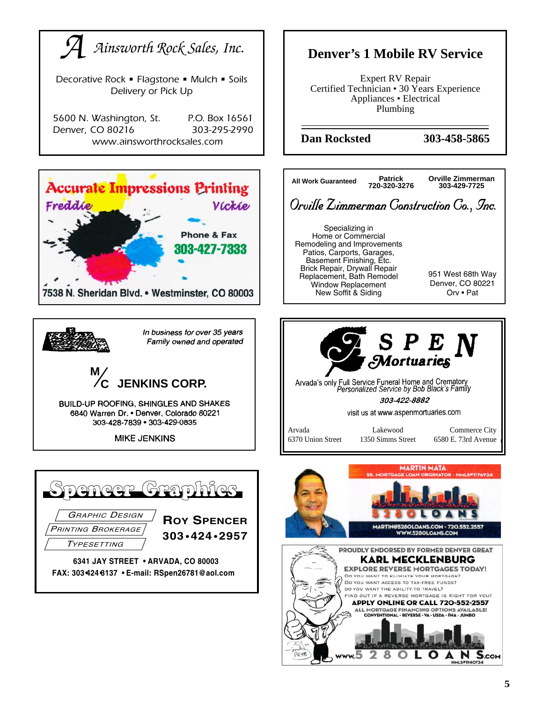

www.5

8

O A

2

 $S_{\rm.com}$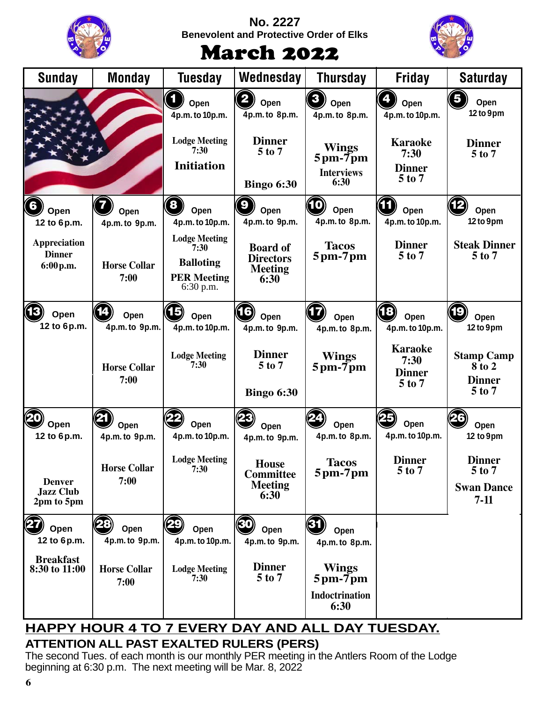|                                                 |                              | <b>No. 2227</b><br><b>Benevolent and Protective Order of Elks</b>                   |                                                               |                                                                               |                                                       |                                                              |
|-------------------------------------------------|------------------------------|-------------------------------------------------------------------------------------|---------------------------------------------------------------|-------------------------------------------------------------------------------|-------------------------------------------------------|--------------------------------------------------------------|
|                                                 |                              |                                                                                     | <b>March 2022</b>                                             |                                                                               |                                                       |                                                              |
| <b>Sunday</b>                                   | Monday                       | <b>Tuesday</b>                                                                      | Wednesday                                                     | <b>Thursday</b>                                                               | Friday                                                | <b>Saturday</b>                                              |
|                                                 |                              | Open<br>4p.m. to 10p.m.                                                             | Open<br>4p.m. to 8p.m.                                        | Open<br>4p.m. to 8p.m.                                                        | Open<br>4p.m. to 10p.m.                               | 5<br>Open<br>12 to 9pm                                       |
|                                                 |                              | <b>Lodge Meeting</b><br>7:30<br><b>Initiation</b>                                   | <b>Dinner</b><br>5 to 7<br><b>Bingo 6:30</b>                  | <b>Wings</b><br>$5 \text{pm}$ - $7 \text{pm}$<br><b>Interviews</b><br>6:30    | <b>Karaoke</b><br>7:30<br><b>Dinner</b><br>5 to 7     | <b>Dinner</b><br>5 to 7                                      |
| $\mathbf{6}$<br>Open<br>12 to 6p.m.             | Open<br>4p.m. to 9p.m.       | $\boldsymbol{8}$<br>Open<br>4p.m. to 10p.m.                                         | Open<br>4p.m. to 9p.m.                                        | 10<br>Open<br>4p.m. to 8p.m.                                                  | Open<br>4p.m. to 10p.m.                               | Open<br>12 to 9pm                                            |
| Appreciation<br><b>Dinner</b><br>6:00 p.m.      | <b>Horse Collar</b><br>7:00  | <b>Lodge Meeting</b><br>7:30<br><b>Balloting</b><br><b>PER Meeting</b><br>6:30 p.m. | <b>Board of</b><br><b>Directors</b><br><b>Meeting</b><br>6:30 | <b>Tacos</b><br>$5$ pm- $7$ pm                                                | <b>Dinner</b><br>$5$ to $7$                           | <b>Steak Dinner</b><br>$5$ to $7$                            |
| 63<br>Open<br>12 to 6p.m.                       | Open<br>4p.m. to 9p.m.       | Open<br>4p.m. to 10p.m.                                                             | Open<br>4p.m. to 9p.m.                                        | Open<br>4p.m. to 8p.m.                                                        | $\mathbf{E}$<br>Open<br>4p.m. to 10p.m.               | 19<br>Open<br>12 to 9pm                                      |
|                                                 | <b>Horse Collar</b><br>7:00  | <b>Lodge Meeting</b><br>7:30                                                        | <b>Dinner</b><br>$5$ to $7$<br><b>Bingo 6:30</b>              | <b>Wings</b><br>$5 \text{pm}$ - $7 \text{pm}$                                 | <b>Karaoke</b><br>7:30<br><b>Dinner</b><br>$5$ to $7$ | <b>Stamp Camp</b><br>8 to 2<br><b>Dinner</b><br>$5$ to $7$   |
| (20<br>Open<br>12 to 6p.m.                      | 21<br>Open<br>4p.m. to 9p.m. | 22<br>Open<br>4p.m. to 10p.m.                                                       | Open<br>4p.m. to 9p.m.                                        | Open<br>4p.m. to 8p.m.                                                        | 25<br>Open<br>4p.m. to 10p.m.                         | (26)<br>Open<br>12 to 9pm                                    |
| <b>Denver</b><br><b>Jazz Club</b><br>2pm to 5pm | <b>Horse Collar</b><br>7:00  | <b>Lodge Meeting</b><br>7:30                                                        | <b>House</b><br><b>Committee</b><br><b>Meeting</b><br>6:30    | <b>Tacos</b><br>$5 \text{pm}$ -7 $\text{pm}$                                  | <b>Dinner</b><br>5 to 7                               | <b>Dinner</b><br>$5$ to $7$<br><b>Swan Dance</b><br>$7 - 11$ |
| Open<br>12 to 6p.m.                             | Open<br>4p.m. to 9p.m.       | Open<br>4p.m. to 10p.m.                                                             | 30<br>Open<br>4p.m. to 9p.m.                                  | 31<br>Open<br>4p.m. to 8p.m.                                                  |                                                       |                                                              |
| <b>Breakfast</b><br>8:30 to 11:00               | <b>Horse Collar</b><br>7:00  | <b>Lodge Meeting</b><br>7:30                                                        | <b>Dinner</b><br>$5$ to $7$                                   | <b>Wings</b><br>$5 \text{pm}$ -7 $\text{pm}$<br><b>Indoctrination</b><br>6:30 |                                                       |                                                              |

#### **ATTENTION ALL PAST EXALTED RULERS (PERS) HAPPY HOUR 4 TO 7 EVERY DAY AND ALL DAY TUESDAY.**

The second Tues. of each month is our monthly PER meeting in the Antlers Room of the Lodge beginning at 6:30 p.m. The next meeting will be Mar. 8, 2022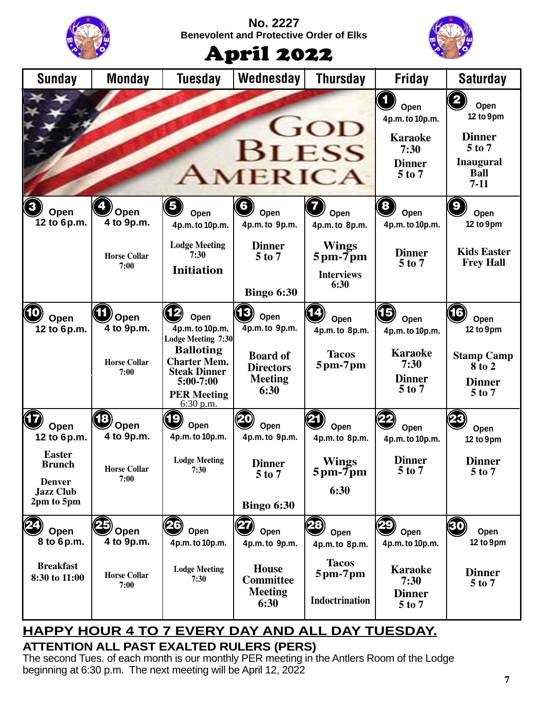| <b>No. 2227</b><br><b>Benevolent and Protective Order of Elks</b><br><b>April 2022</b> |                                                   |                                                                                                                                                                   |                                                                                                      |                                                                                                 |                                                                                     |                                                                                                                        |
|----------------------------------------------------------------------------------------|---------------------------------------------------|-------------------------------------------------------------------------------------------------------------------------------------------------------------------|------------------------------------------------------------------------------------------------------|-------------------------------------------------------------------------------------------------|-------------------------------------------------------------------------------------|------------------------------------------------------------------------------------------------------------------------|
| <b>Sunday</b>                                                                          | <b>Monday</b>                                     | <b>Tuesday</b>                                                                                                                                                    | Wednesday                                                                                            | <b>Thursday</b>                                                                                 | <b>Friday</b>                                                                       | <b>Saturday</b>                                                                                                        |
|                                                                                        |                                                   |                                                                                                                                                                   | <b>BLESS</b><br>MERICA                                                                               | GOD                                                                                             | Open<br>4p.m. to 10p.m.<br><b>Karaoke</b><br>7:30<br><b>Dinner</b><br>5 to 7        | $\overline{\mathbf{2}}$<br>Open<br>12 to 9pm<br><b>Dinner</b><br>5 to 7<br><b>Inaugural</b><br><b>Ball</b><br>$7 - 11$ |
| $\mathbf{3}$<br>Open<br>12 to 6p.m.                                                    | Open<br>4 to 9p.m.                                | Open<br>4p.m. to 10p.m.                                                                                                                                           | 6<br>Open<br>4p.m. to 9p.m.                                                                          | Open<br>4p.m. to 8p.m.                                                                          | $\left( \mathbf{8}\right)$<br>Open<br>4p.m. to 10p.m.                               | $\mathbf{g}$<br>Open<br>12 to 9pm                                                                                      |
|                                                                                        | <b>Horse Collar</b><br>7:00                       | <b>Lodge Meeting</b><br>7:30<br><b>Initiation</b>                                                                                                                 | <b>Dinner</b><br>$5$ to $7$<br><b>Bingo 6:30</b>                                                     | <b>Wings</b><br>$5 \text{pm}$ - $7 \text{pm}$<br><b>Interviews</b><br>6:30                      | <b>Dinner</b><br>$5$ to $7$                                                         | <b>Kids Easter</b><br><b>Frey Hall</b>                                                                                 |
| (10<br>Open<br>12 to 6p.m.                                                             | Open<br>4 to 9p.m.<br><b>Horse Collar</b><br>7:00 | Open<br>4p.m. to 10p.m.<br>Lodge Meeting 7:30<br><b>Balloting</b><br><b>Charter Mem.</b><br><b>Steak Dinner</b><br>$5:00-7:00$<br><b>PER Meeting</b><br>6:30 p.m. | $\cdot$ B<br>Open<br>4p.m. to 9p.m.<br><b>Board of</b><br><b>Directors</b><br><b>Meeting</b><br>6:30 | Open<br>4p.m. to 8p.m.<br><b>Tacos</b><br>$5$ pm- $7$ pm                                        | 15)<br>Open<br>4p.m. to 10p.m.<br><b>Karaoke</b><br>7:30<br><b>Dinner</b><br>5 to 7 | 16)<br>Open<br>12 to 9pm<br><b>Stamp Camp</b><br>8 to 2<br><b>Dinner</b><br>5 to 7                                     |
| Open<br>12 to 6p.m.                                                                    | Open<br>4 to 9p.m.                                | 19<br>Open<br>4p.m. to 10p.m.                                                                                                                                     | Open<br>4p.m. to 9p.m.                                                                               | Open<br>4p.m. to 8p.m.                                                                          | Open<br>4p.m. to 10p.m.                                                             | Open<br>12 to 9pm                                                                                                      |
| <b>Easter</b><br><b>Brunch</b><br><b>Denver</b><br><b>Jazz Club</b><br>2pm to 5pm      | <b>Horse Collar</b><br>7:00                       | <b>Lodge Meeting</b><br>7:30                                                                                                                                      | <b>Dinner</b><br>$5$ to $7$<br><b>Bingo 6:30</b>                                                     | <b>Wings</b><br>$5 \text{pm}$ - $7 \text{pm}$<br>6:30                                           | <b>Dinner</b><br>5 to 7                                                             | <b>Dinner</b><br>5 to 7                                                                                                |
| Open<br>8 to 6p.m.<br><b>Breakfast</b><br>8:30 to 11:00                                | Open<br>4 to 9p.m.<br><b>Horse Collar</b><br>7:00 | Open<br>4p.m. to 10p.m.<br><b>Lodge Meeting</b><br>7:30                                                                                                           | Open<br>4p.m. to 9p.m.<br><b>House</b><br><b>Committee</b><br><b>Meeting</b><br>6:30                 | Open<br>4p.m. to 8p.m.<br><b>Tacos</b><br>$5 \text{pm}$ -7 $\text{pm}$<br><b>Indoctrination</b> | Open<br>4p.m. to 10p.m.<br><b>Karaoke</b><br>7:30<br><b>Dinner</b><br>5 to 7        | 30<br>Open<br>12 to 9pm<br><b>Dinner</b><br>$5$ to $7$                                                                 |

#### **ATTENTION ALL PAST EXALTED RULERS (PERS) HAPPY HOUR 4 TO 7 EVERY DAY AND ALL DAY TUESDAY.**

The second Tues. of each month is our monthly PER meeting in the Antlers Room of the Lodge beginning at 6:30 p.m. The next meeting will be April 12, 2022